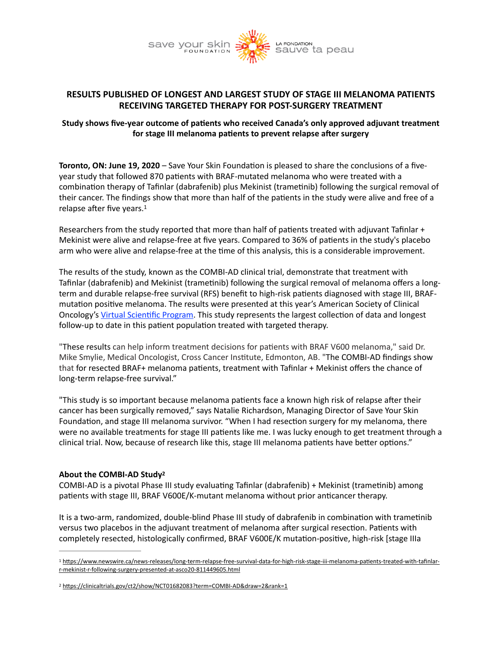

# **RESULTS PUBLISHED OF LONGEST AND LARGEST STUDY OF STAGE III MELANOMA PATIENTS RECEIVING TARGETED THERAPY FOR POST-SURGERY TREATMENT**

# Study shows five-year outcome of patients who received Canada's only approved adjuvant treatment for stage III melanoma patients to prevent relapse after surgery

**Toronto, ON: June 19, 2020** – Save Your Skin Foundation is pleased to share the conclusions of a fiveyear study that followed 870 patients with BRAF-mutated melanoma who were treated with a combination therapy of Tafinlar (dabrafenib) plus Mekinist (trametinib) following the surgical removal of their cancer. The findings show that more than half of the patients in the study were alive and free of a relapse after five years.<sup>[1](#page-0-0)</sup>

<span id="page-0-2"></span>Researchers from the study reported that more than half of patients treated with adjuvant Tafinlar + Mekinist were alive and relapse-free at five years. Compared to 36% of patients in the study's placebo arm who were alive and relapse-free at the time of this analysis, this is a considerable improvement.

The results of the study, known as the COMBI-AD clinical trial, demonstrate that treatment with Tafinlar (dabrafenib) and Mekinist (trametinib) following the surgical removal of melanoma offers a longterm and durable relapse-free survival (RFS) benefit to high-risk patients diagnosed with stage III, BRAFmutation positive melanoma. The results were presented at this year's American Society of Clinical Oncology's Virtual Scientific Program. This study represents the largest collection of data and longest follow-up to date in this patient population treated with targeted therapy.

"These results can help inform treatment decisions for patients with BRAF V600 melanoma," said Dr. Mike Smylie, Medical Oncologist, Cross Cancer Institute, Edmonton, AB. "The COMBI-AD findings show that for resected BRAF+ melanoma patients, treatment with Tafinlar + Mekinist offers the chance of long-term relapse-free survival."

"This study is so important because melanoma patients face a known high risk of relapse after their cancer has been surgically removed," says Natalie Richardson, Managing Director of Save Your Skin Foundation, and stage III melanoma survivor. "When I had resection surgery for my melanoma, there were no available treatments for stage III patients like me. I was lucky enough to get treatment through a clinical trial. Now, because of research like this, stage III melanoma patients have better options."

## <span id="page-0-3"></span>About the COMBI-AD Study<sup>[2](#page-0-1)</sup>

COMBI-AD is a pivotal Phase III study evaluating Tafinlar (dabrafenib) + Mekinist (trametinib) among patients with stage III, BRAF V600E/K-mutant melanoma without prior anticancer therapy.

It is a two-arm, randomized, double-blind Phase III study of dabrafenib in combination with trametinib versus two placebos in the adjuvant treatment of melanoma after surgical resection. Patients with completely resected, histologically confirmed, BRAF V600E/K mutation-positive, high-risk [stage IIIa

<span id="page-0-0"></span>[<sup>1</sup>](#page-0-2) https://www.newswire.ca/news-releases/long-term-relapse-free-survival-data-for-high-risk-stage-iii-melanoma-patients-treated-with-tafinlar[r-mekinist-r-following-surgery-presented-at-asco20-811449605.html](https://www.newswire.ca/news-releases/long-term-relapse-free-survival-data-for-high-risk-stage-iii-melanoma-patients-treated-with-tafinlar-r-mekinist-r-following-surgery-presented-at-asco20-811449605.html)

<span id="page-0-1"></span><sup>&</sup>lt;sup>[2](#page-0-3)</sup> https://clinicaltrials.gov/ct2/show/NCT01682083?term=COMBI-AD&draw=2&rank=1